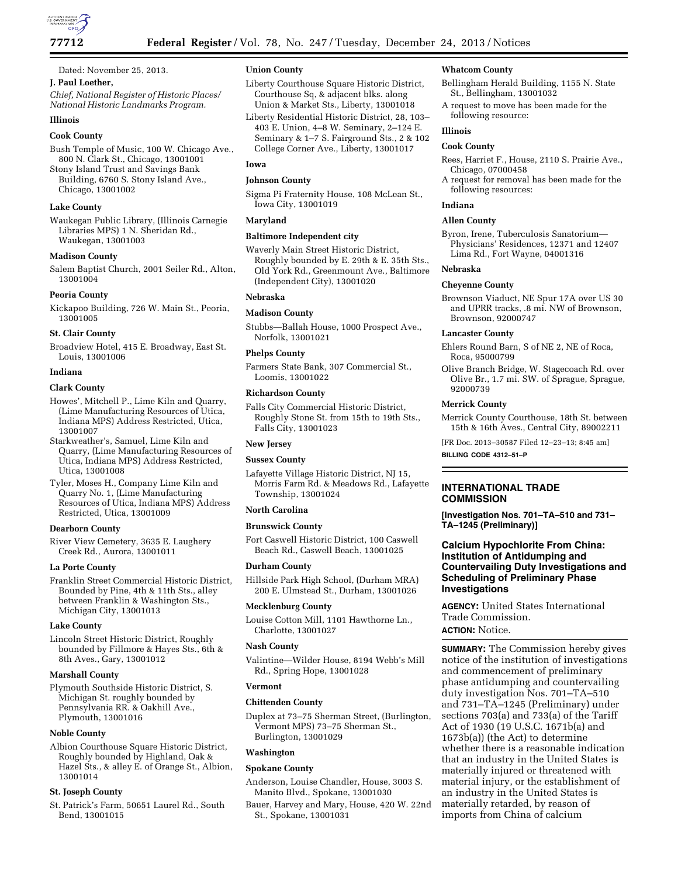

# Dated: November 25, 2013.

# **J. Paul Loether,**

*Chief, National Register of Historic Places/ National Historic Landmarks Program.* 

# **Illinois**

### **Cook County**

Bush Temple of Music, 100 W. Chicago Ave., 800 N. Clark St., Chicago, 13001001 Stony Island Trust and Savings Bank

Building, 6760 S. Stony Island Ave., Chicago, 13001002

## **Lake County**

Waukegan Public Library, (Illinois Carnegie Libraries MPS) 1 N. Sheridan Rd., Waukegan, 13001003

#### **Madison County**

Salem Baptist Church, 2001 Seiler Rd., Alton, 13001004

#### **Peoria County**

Kickapoo Building, 726 W. Main St., Peoria, 13001005

# **St. Clair County**

Broadview Hotel, 415 E. Broadway, East St. Louis, 13001006

#### **Indiana**

# **Clark County**

Howes', Mitchell P., Lime Kiln and Quarry, (Lime Manufacturing Resources of Utica, Indiana MPS) Address Restricted, Utica, 13001007

Starkweather's, Samuel, Lime Kiln and Quarry, (Lime Manufacturing Resources of Utica, Indiana MPS) Address Restricted, Utica, 13001008

Tyler, Moses H., Company Lime Kiln and Quarry No. 1, (Lime Manufacturing Resources of Utica, Indiana MPS) Address Restricted, Utica, 13001009

#### **Dearborn County**

River View Cemetery, 3635 E. Laughery Creek Rd., Aurora, 13001011

#### **La Porte County**

Franklin Street Commercial Historic District, Bounded by Pine, 4th & 11th Sts., alley between Franklin & Washington Sts., Michigan City, 13001013

#### **Lake County**

Lincoln Street Historic District, Roughly bounded by Fillmore & Hayes Sts., 6th & 8th Aves., Gary, 13001012

#### **Marshall County**

Plymouth Southside Historic District, S. Michigan St. roughly bounded by Pennsylvania RR. & Oakhill Ave., Plymouth, 13001016

#### **Noble County**

Albion Courthouse Square Historic District, Roughly bounded by Highland, Oak & Hazel Sts., & alley E. of Orange St., Albion, 13001014

#### **St. Joseph County**

St. Patrick's Farm, 50651 Laurel Rd., South Bend, 13001015

# **Union County**

- Liberty Courthouse Square Historic District, Courthouse Sq, & adjacent blks. along Union & Market Sts., Liberty, 13001018
- Liberty Residential Historic District, 28, 103– 403 E. Union, 4–8 W. Seminary, 2–124 E. Seminary & 1–7 S. Fairground Sts., 2 & 102 College Corner Ave., Liberty, 13001017

## **Iowa**

# **Johnson County**

Sigma Pi Fraternity House, 108 McLean St., Iowa City, 13001019

## **Maryland**

# **Baltimore Independent city**

Waverly Main Street Historic District, Roughly bounded by E. 29th & E. 35th Sts., Old York Rd., Greenmount Ave., Baltimore (Independent City), 13001020

#### **Nebraska**

#### **Madison County**

Stubbs—Ballah House, 1000 Prospect Ave., Norfolk, 13001021

#### **Phelps County**

Farmers State Bank, 307 Commercial St., Loomis, 13001022

#### **Richardson County**

Falls City Commercial Historic District, Roughly Stone St. from 15th to 19th Sts., Falls City, 13001023

#### **New Jersey**

## **Sussex County**

Lafayette Village Historic District, NJ 15, Morris Farm Rd. & Meadows Rd., Lafayette Township, 13001024

#### **North Carolina**

#### **Brunswick County**

Fort Caswell Historic District, 100 Caswell Beach Rd., Caswell Beach, 13001025

#### **Durham County**

Hillside Park High School, (Durham MRA) 200 E. Ulmstead St., Durham, 13001026

### **Mecklenburg County**

Louise Cotton Mill, 1101 Hawthorne Ln., Charlotte, 13001027

## **Nash County**

Valintine—Wilder House, 8194 Webb's Mill Rd., Spring Hope, 13001028

#### **Vermont**

#### **Chittenden County**

Duplex at 73–75 Sherman Street, (Burlington, Vermont MPS) 73–75 Sherman St., Burlington, 13001029

#### **Washington**

#### **Spokane County**

- Anderson, Louise Chandler, House, 3003 S. Manito Blvd., Spokane, 13001030
- Bauer, Harvey and Mary, House, 420 W. 22nd St., Spokane, 13001031

#### **Whatcom County**

- Bellingham Herald Building, 1155 N. State St., Bellingham, 13001032
- A request to move has been made for the following resource:

# **Illinois**

# **Cook County**

- Rees, Harriet F., House, 2110 S. Prairie Ave., Chicago, 07000458
- A request for removal has been made for the following resources:

#### **Indiana**

#### **Allen County**

Byron, Irene, Tuberculosis Sanatorium— Physicians' Residences, 12371 and 12407 Lima Rd., Fort Wayne, 04001316

#### **Nebraska**

#### **Cheyenne County**

Brownson Viaduct, NE Spur 17A over US 30 and UPRR tracks, .8 mi. NW of Brownson, Brownson, 92000747

### **Lancaster County**

Ehlers Round Barn, S of NE 2, NE of Roca, Roca, 95000799

Olive Branch Bridge, W. Stagecoach Rd. over Olive Br., 1.7 mi. SW. of Sprague, Sprague, 92000739

#### **Merrick County**

Merrick County Courthouse, 18th St. between 15th & 16th Aves., Central City, 89002211

[FR Doc. 2013–30587 Filed 12–23–13; 8:45 am] **BILLING CODE 4312–51–P** 

# **INTERNATIONAL TRADE COMMISSION**

**[Investigation Nos. 701–TA–510 and 731– TA–1245 (Preliminary)]** 

# **Calcium Hypochlorite From China: Institution of Antidumping and Countervailing Duty Investigations and Scheduling of Preliminary Phase Investigations**

**AGENCY:** United States International Trade Commission.

## **ACTION:** Notice.

**SUMMARY:** The Commission hereby gives notice of the institution of investigations and commencement of preliminary phase antidumping and countervailing duty investigation Nos. 701–TA–510 and 731–TA–1245 (Preliminary) under sections 703(a) and 733(a) of the Tariff Act of 1930 (19 U.S.C. 1671b(a) and 1673b(a)) (the Act) to determine whether there is a reasonable indication that an industry in the United States is materially injured or threatened with material injury, or the establishment of an industry in the United States is materially retarded, by reason of imports from China of calcium